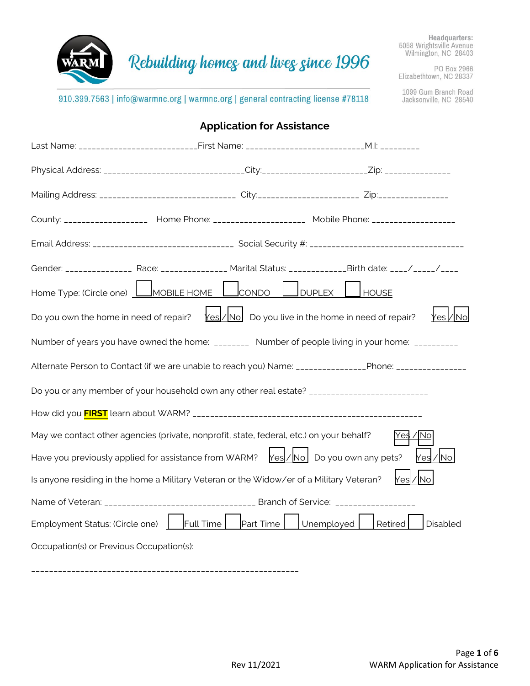

PO Box 2966<br>Elizabethtown, NC 28337

1099 Gum Branch Road<br>Jacksonville, NC 28540

#### 910.399.7563 | info@warmnc.org | warmnc.org | general contracting license #78118

|                                          | <b>Application for Assistance</b>                                                                                                                                                          |            |           |          |
|------------------------------------------|--------------------------------------------------------------------------------------------------------------------------------------------------------------------------------------------|------------|-----------|----------|
|                                          | Last Name: __________________________First Name: _____________________________M.l: __________                                                                                              |            |           |          |
|                                          | Physical Address: _____________________________City:___________________Zip: ________________________                                                                                       |            |           |          |
|                                          | Mailing Address: ______________________________ City:_____________________ Zip:____________________                                                                                        |            |           |          |
|                                          | County: _____________________ Home Phone: ______________________ Mobile Phone: ___________________                                                                                         |            |           |          |
|                                          |                                                                                                                                                                                            |            |           |          |
|                                          | Gender: __________________ Race: _________________ Marital Status: ______________Birth date: ____/_____/_____                                                                              |            |           |          |
|                                          | Home Type: (Circle one) <u>L_MOBILE HOME L_</u> CONDO L__DUPLEX L_                                                                                                                         |            | HOUSE     |          |
|                                          | Do you own the home in need of repair? $\text{Yes} / \text{No}$ Do you live in the home in need of repair?                                                                                 |            |           | Yesl⁄∣No |
|                                          | Number of years you have owned the home: _________ Number of people living in your home: __________                                                                                        |            |           |          |
|                                          | Alternate Person to Contact (if we are unable to reach you) Name: ________________Phone: ________________                                                                                  |            |           |          |
|                                          | Do you or any member of your household own any other real estate? ___________________________                                                                                              |            |           |          |
|                                          |                                                                                                                                                                                            |            |           |          |
|                                          | May we contact other agencies (private, nonprofit, state, federal, etc.) on your behalf?                                                                                                   |            | 'Yes / No |          |
|                                          | Have you previously applied for assistance from WARM? $\left \frac{\gamma_{\rm e s}}{\gamma_{\rm e s}}\right /\left \frac{\gamma_{\rm e s}}{\gamma_{\rm e s}}\right $ Do you own any pets? |            |           | Yes / No |
|                                          | Is anyone residing in the home a Military Veteran or the Widow/er of a Military Veteran?                                                                                                   |            | Yes / No  |          |
|                                          |                                                                                                                                                                                            |            |           |          |
|                                          | Employment Status: (Circle one) Full Time<br>Part Time                                                                                                                                     | Unemployed | Retired   | Disabled |
| Occupation(s) or Previous Occupation(s): |                                                                                                                                                                                            |            |           |          |

\_\_\_\_\_\_\_\_\_\_\_\_\_\_\_\_\_\_\_\_\_\_\_\_\_\_\_\_\_\_\_\_\_\_\_\_\_\_\_\_\_\_\_\_\_\_\_\_\_\_\_\_\_\_\_\_\_\_\_\_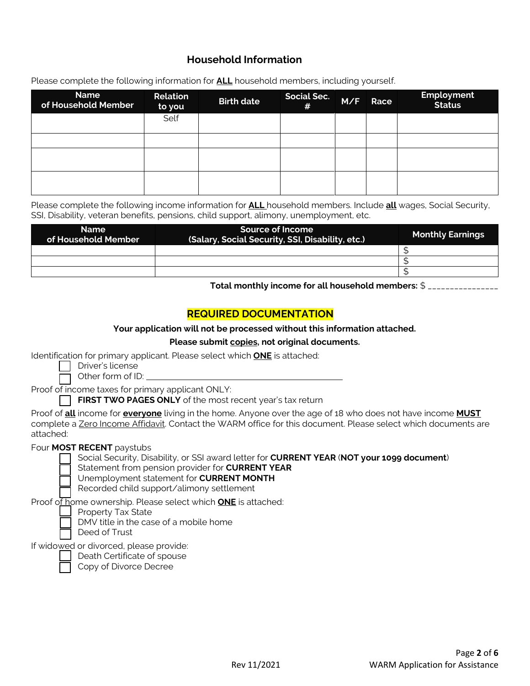### **Household Information**

Please complete the following information for **ALL** household members, including yourself.

| <b>Name</b><br>of Household Member | Relation<br>to you | <b>Birth date</b> | <b>Social Sec.</b><br># | M/F | Race | <b>Employment</b><br>Status |
|------------------------------------|--------------------|-------------------|-------------------------|-----|------|-----------------------------|
|                                    | Self               |                   |                         |     |      |                             |
|                                    |                    |                   |                         |     |      |                             |
|                                    |                    |                   |                         |     |      |                             |
|                                    |                    |                   |                         |     |      |                             |

Please complete the following income information for **ALL** household members. Include **all** wages, Social Security, SSI, Disability, veteran benefits, pensions, child support, alimony, unemployment, etc.

| <b>Name</b><br>of Household Member | Source of Income<br>(Salary, Social Security, SSI, Disability, etc.) | <b>Monthly Earnings</b> |
|------------------------------------|----------------------------------------------------------------------|-------------------------|
|                                    |                                                                      |                         |
|                                    |                                                                      |                         |
|                                    |                                                                      |                         |

**Total monthly income for all household members:** \$ \_\_\_\_\_\_\_\_\_\_\_\_\_\_\_\_

### **REQUIRED DOCUMENTATION**

#### **Your application will not be processed without this information attached.**

**Please submit copies, not original documents.**

Identification for primary applicant. Please select which **ONE** is attached:

| Driver's license                                                          |  |
|---------------------------------------------------------------------------|--|
| $[$ $\bigcap$ $\bigcap$ $\bigcap$ $\bigcap$ $\bigcap$ $\bigcap$ $\bigcap$ |  |

 $\Box$  Other form of ID:

Proof of income taxes for primary applicant ONLY:

**FIRST TWO PAGES ONLY** of the most recent year's tax return

Proof of **all** income for **everyone** living in the home. Anyone over the age of 18 who does not have income **MUST** complete a Zero Income Affidavit. Contact the WARM office for this document. Please select which documents are attached:

#### Four **MOST RECENT** paystubs

□ Social Security, Disability, or SSI award letter for **CURRENT YEAR** (**NOT your 1099 document**)

Statement from pension provider for **CURRENT YEAR** 

Unemployment statement for **CURRENT MONTH** 

Recorded child support/alimony settlement

Proof of home ownership. Please select which **ONE** is attached:

Property Tax State



□ DMV title in the case of a mobile home

Deed of Trust

If widowed or divorced, please provide:

Death Certificate of spouse

Copy of Divorce Decree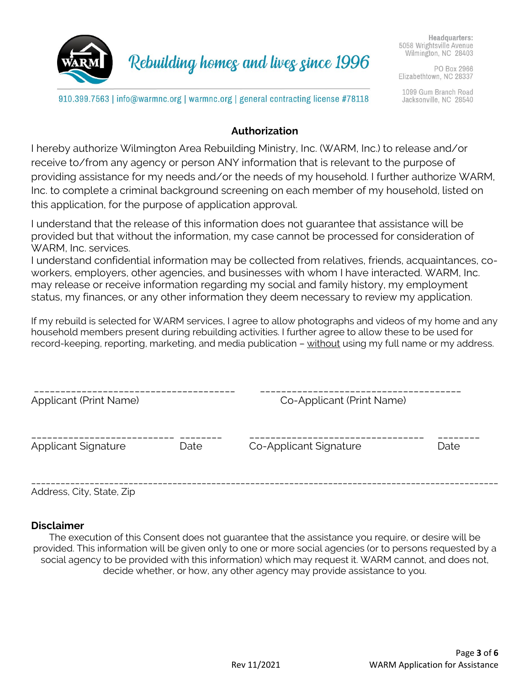

Rebuilding homes and lives since 1996

PO Box 2966 Elizabethtown, NC 28337

1099 Gum Branch Road Jacksonville, NC 28540

910.399.7563 | info@warmnc.org | warmnc.org | general contracting license #78118

## **Authorization**

I hereby authorize Wilmington Area Rebuilding Ministry, Inc. (WARM, Inc.) to release and/or receive to/from any agency or person ANY information that is relevant to the purpose of providing assistance for my needs and/or the needs of my household. I further authorize WARM, Inc. to complete a criminal background screening on each member of my household, listed on this application, for the purpose of application approval.

I understand that the release of this information does not guarantee that assistance will be provided but that without the information, my case cannot be processed for consideration of WARM, Inc. services.

I understand confidential information may be collected from relatives, friends, acquaintances, coworkers, employers, other agencies, and businesses with whom I have interacted. WARM, Inc. may release or receive information regarding my social and family history, my employment status, my finances, or any other information they deem necessary to review my application.

If my rebuild is selected for WARM services, I agree to allow photographs and videos of my home and any household members present during rebuilding activities. I further agree to allow these to be used for record-keeping, reporting, marketing, and media publication – without using my full name or my address.

| <b>Applicant (Print Name)</b> |      | Co-Applicant (Print Name) |      |  |  |
|-------------------------------|------|---------------------------|------|--|--|
| <b>Applicant Signature</b>    | Date | Co-Applicant Signature    | Date |  |  |
|                               |      |                           |      |  |  |

Address, City, State, Zip

### **Disclaimer**

The execution of this Consent does not guarantee that the assistance you require, or desire will be provided. This information will be given only to one or more social agencies (or to persons requested by a social agency to be provided with this information) which may request it. WARM cannot, and does not, decide whether, or how, any other agency may provide assistance to you.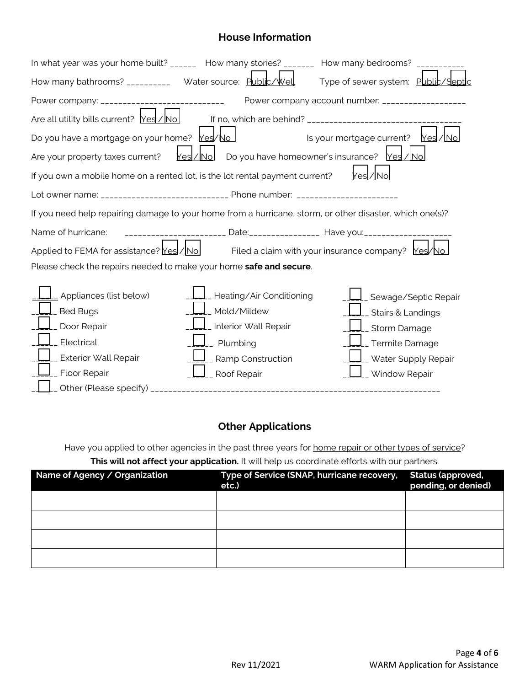## **House Information**

| In what year was your home built? ______ How many stories? _______ How many bedrooms? _______.           |                                                                     |                                                  |
|----------------------------------------------------------------------------------------------------------|---------------------------------------------------------------------|--------------------------------------------------|
| How many bathrooms? __________ Water source: Public/Well                                                 |                                                                     | Type of sewer system: Public/Septic              |
| Power company: ______________________________                                                            |                                                                     | Power company account number: __________________ |
| Are all utility bills current? $\text{Yes} / \text{No}$                                                  |                                                                     |                                                  |
| Do you have a mortgage on your home? Mes/No                                                              |                                                                     | Is your mortgage current?<br>Yesl/Mo             |
| Are your property taxes current?                                                                         | Yesl/Nol                                                            | Do you have homeowner's insurance? Yes / No      |
| If you own a mobile home on a rented lot, is the lot rental payment current?                             |                                                                     |                                                  |
| Lot owner name: ______________________________ Phone number: ____________________                        |                                                                     |                                                  |
| If you need help repairing damage to your home from a hurricane, storm, or other disaster, which one(s)? |                                                                     |                                                  |
| Name of hurricane:                                                                                       | ----------------------- Date:_______________ Have you:_____________ |                                                  |
| Applied to FEMA for assistance? $Yes/No$ Filed a claim with your insurance company? $Yes/No$             |                                                                     |                                                  |
| Please check the repairs needed to make your home safe and secure.                                       |                                                                     |                                                  |
| Appliances (list below)                                                                                  | _Heating/Air Conditioning                                           | <u>I</u> _ Sewage/Septic Repair                  |
| <b>Bed Bugs</b>                                                                                          | Mold/Mildew                                                         | _ Stairs & Landings                              |
| Door Repair                                                                                              | Interior Wall Repair                                                | _ Storm Damage                                   |
| Electrical                                                                                               | _ Plumbing                                                          | __ Termite Damage                                |
| Exterior Wall Repair                                                                                     | _ Ramp Construction                                                 | _ Water Supply Repair                            |
| Floor Repair                                                                                             | _ Roof Repair                                                       | _ Window Repair                                  |
|                                                                                                          |                                                                     |                                                  |

## **Other Applications**

Have you applied to other agencies in the past three years for home repair or other types of service? **This will not affect your application.** It will help us coordinate efforts with our partners.

| Name of Agency / Organization | Type of Service (SNAP, hurricane recovery,<br>etc.) | <b>Status (approved,</b><br>pending, or denied) |
|-------------------------------|-----------------------------------------------------|-------------------------------------------------|
|                               |                                                     |                                                 |
|                               |                                                     |                                                 |
|                               |                                                     |                                                 |
|                               |                                                     |                                                 |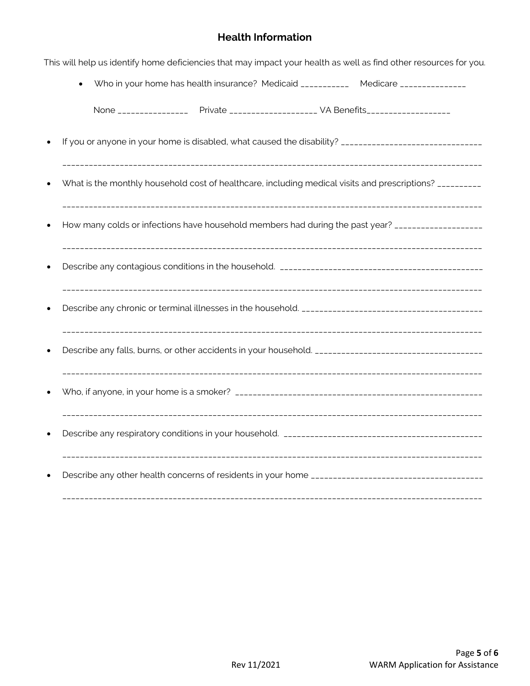## **Health Information**

|                                                                                            | Who in your home has health insurance? Medicaid ____________ Medicare ______________                     |
|--------------------------------------------------------------------------------------------|----------------------------------------------------------------------------------------------------------|
| None _________________ Private ___________________________ VA Benefits____________________ |                                                                                                          |
|                                                                                            |                                                                                                          |
|                                                                                            | What is the monthly household cost of healthcare, including medical visits and prescriptions? __________ |
|                                                                                            | How many colds or infections have household members had during the past year? ___________________        |
|                                                                                            |                                                                                                          |
|                                                                                            |                                                                                                          |
|                                                                                            | Describe any falls, burns, or other accidents in your household. ___________________________________     |
|                                                                                            |                                                                                                          |
|                                                                                            |                                                                                                          |
|                                                                                            |                                                                                                          |